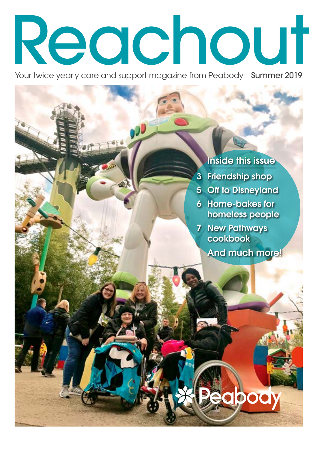# Reachout

Your twice yearly care and support magazine from Peabody Summer 2019

### Inside this issue

- 3 Friendship shop
- 5 Off to Disneyland
- 6 Home-bakes for homeless people
- 7 New Pathways cookbook
	- And much more!

**Peabody**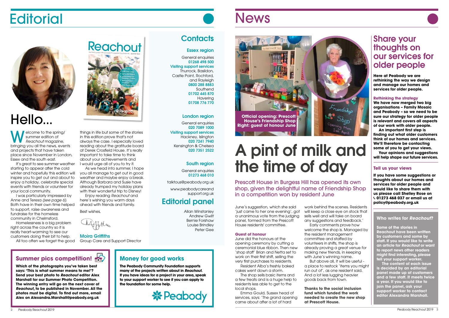June's suggestion, which she said 'just came to her one evening', got a unanimous vote from the judging panel, formed from the Prescott House residents' committee.

#### **Guest of honour**

June did the honours at the opening ceremony by cutting a ceremonial blue ribbon. Then new 'shop staff' Brian and Netta set to work on their first shift, selling the very first purchases to residents.

Resident Alba's freshly baked cakes went down a storm.

The shop sells basic items and a few treats and is a huge help to residents less able to get to the local shops.

Emma Gould, Sussex head of services, says: 'The grand opening came about after a lot of hard

work behind the scenes. Residents will keep a close eye on stock that sells well and will take on board any suggestions and feedback.' welcome the shop is. Managed by the resident management committee and staffed by volunteers in shifts, the shop is already proving a great venue for making new friends, in keeping with June's winning name. a place to restock 'items you might run out of', as one resident said. And a lot less lugging heavier goods back from town.

Early comments prove how But above all, it will be useful -

**Thanks to the social inclusion fund which funded the work needed to create the new shop at Prescott House.** 

# A pint of milk and the time of day

### Share your thoughts on our services for older people

**Here at Peabody we are rethinking the way we design and manage our homes and services for older people.** 

**W** summer edition of<br>*Reachout* magazine,<br>*Reachout* magazine, summer edition of bringing you all the news, events and projects that have taken place since November in London, Essex and the south east.

#### **Rethinking the strategy**

It's great to see summer weather starting to appear after the cold winter and hopefully this edition will inspire you to get out and about to enjoy a holiday, celebrate special events with friends or volunteer for your local community.

**We have now merged two big organisations – Family Mosaic and Peabody – so we need to be sure our strategy for older people is relevant and covers all aspects of our work with older people.**

**An important first step is finding out what older customers think of our homes and services. We'll therefore be contacting some of you to get your views.**

As we head into summer, I hope you all manage to get out in good weather and maybe enjoy a break. Although Barbara and Susie have already trumped my holiday plans with their wonderful trip to Disney!

**Your opinions and suggestions will help shape our future services.** 

#### **Tell us your views**

**If you have some suggestions or thoughts about our homes and services for older people and would like to share them with us please call Shelley Rose on**  J**01273 468 037 or email us at policy@peabody.org.uk**

Prescott House in Burgess Hill has opened its own shop, given the delightful name of Friendship Shop in a competition won by resident June

General enquiries 01273 468 010

#### **Who writes for** *Reachout***?**

**Some of the stories in Reachout have been written by customers and some by staff. If you would like to write an article for** *Reachout* **or want to report news other readers might find interesting, please tell your support worker.** 

**The content of each issue is decided by an editorial panel made up of customers and a few staff. It meets twice a year. If you would like to join the panel, ask your support worker to contact editor Alexandra Marshall.**

I was particularly impressed by Anne and Teresa *(see page 6)*. Both have in their own time helped to support, raise awareness and fundraise for the homeless community in Chelmsford.

Homelessness is a big problem right across the country so it is really heart-warming to see our customers doing their bit to help.

All too often we forget the good

things in life but some of the stories in this edition prove that's not always the case. I especially loved reading about the gratitude board at Derek Crosfield House. It's really important to take time to think about your achievements and I would urge all of you to try it.

Enjoy reading *Reachout* and here's wishing you warm days ahead with friends and family.

Best wishes,

Moira Griffiths Group Care and Support Director

### **Summer pics competition!**  $\bullet$  **I I** Money for good works

#### Essex region

General enquiries 01268 498 500 Visiting support services Thurrock, Basildon, Castle Point, Rochford, and Rayleigh 0800 288 8883 Southend 01702 445 870 Havering 01708 776 770

#### London region

General enquiries 020 7089 1000 Visiting support services Hackney, Islington 020 7241 7940 Kensington & Chelsea 020 7351 2522

#### South region

talktous@peabody.org.uk

www.peabodycareand support.org.uk

### Editorial panel

Allan Winstanley Andrew Gwilt Bernie Forshaw Louise Brindley Peter Gee



# **Editorial**



# Hello...

**The Peabody Community Foundation supports many of the projects written about in** *Reachout***. If you have ideas for a project in your area, speak to your support worker to see if you can apply to the foundation for some help.**



### **News**

### **Contacts**

**Which of the photographs you've taken best says: 'This is what summer means to me!'? Send your best photo to** *Reachout* **editor Alex Marshall for our Summer Photo Competition. The winning entry will go on the next cover of**  *Reachout***, to be published in November. All the photos must be digital. To find out more, email Alex on Alexandra.Marshall@peabody.org.uk**

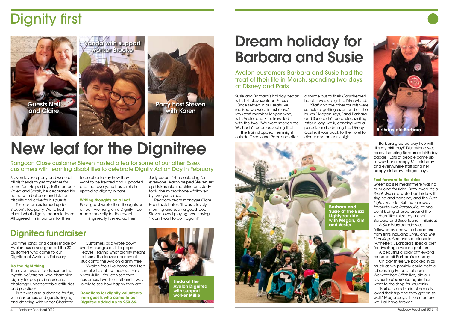Steven loves a party and wanted all his friends to get together for some fun. Helped by staff members Karen and Sarah, he decorated his home with balloons and laid on biscuits and cake for his guests.

Ten customers turned up for Steven's tea party. We talked about what dignity means to them. made specially for the event. All agreed it is important for them

to be able to say how they want to be treated and supported and that everyone has a role in upholding dignity in care.

#### **Writing thoughts on a leaf**

Each guest wrote their thoughts on a 'leaf' we hung on a Dignity Tree, Things really livened up then.

Judy asked if she could sing for everyone. Aaron helped Steven set up his karaoke machine and Judy took the microphone – followed by everyone else.

Customers also wrote down short messages on little paper 'leaves', saying what dignity means to them. The leaves are now all stuck onto the Avalon dianity tree.

Peabody team manager Clare Heath said later: 'It was a lovely morning and such a good idea.' Steven loved playing host, saying: 'I can't wait to do it again!'

# Dignity first

# New leaf for the Dignitree

Rangoon Close customer Steven hosted a tea for some of our other Essex customers with learning disabilities to celebrate Dignity Action Day in February



### Dignitea fundraiser

Old time songs and cakes made by Avalon customers greeted the 30 customers who came to our Dignitea at Avalon in February.

#### **Do the right thing**

The event was a fundraiser for the *dignity volunteers*, who champion dignity for people in care and challenge unacceptable attitudes and practices.

But it was also a chance for fun, with customers and guests singing and dancing with singer Charlotte.

On day three we packed in as much as we possibly could before reboarding Eurostar at 5pm. We watched *Stitch* live, did our favourite *Ratatouille* again then went to the shop for souvenirs.

'Avalon feels like home and I felt humbled by all I witnessed,' said visitor Julie. 'You can see that customers love the staff and it was lovely to see how happy they are.'

**Donations for dignity volunteers from guests who came to our Dignitea added up to £53.66.**

Susie and Barbara's holiday began with first class seats on Eurostar. 'Once settled in our seats we realised we were in first class,' says staff member Megan who, with Vester and Kim, travelled with the two. 'We were speechless. We hadn't been expecting that!' The train dropped them right outside Disneyland Paris, and after

a shuttle bus to their *Cars*-themed hotel, it was straight to Disneyland. 'Staff and the other tourists were so helpful getting us on and off the buses,' Megan says, 'and Barbara and Susie didn't once stop smiling.' After a long walk, dancing with a parade and admiring the Disney Castle, it was back to the hotel for dinner and an early night.

Barbara greeted day two with: 'It's my birthday!' Disneyland was ready, handing Barbara a birthday badge. 'Lots of people came up to wish her a happy 81st birthday and everywhere staff sang her happy birthday,' Megan says.

#### **Fast forward to the rides**

Green passes meant there was no queueing for rides. Both loved *It's a Small World*, a waterboat-ride with singing and dancing, and the *Buzz Lightyear* ride. But the runaway favourite was *Ratatouille*, at one point being chased around the kitchen 'like mice' by a chef. Barbara and Susie found it hilarious.

A *Star Wars* parade was followed by one with characters from films including *Shrek* and *The Lion King*. And even at dinner in 'Annette's', Barbara's special diet for dysphagia was no problem.

A beautiful display of fireworks rounded off Barbara's birthday.

'Barbara and Susie absolutely loved their trip and they got on so well,' Megan says. 'It's a memory we'll all have forever.'

# Dream holiday for Barbara and Susie

Avalon customers Barbara and Susie had the treat of their life in March, spending two days at Disneyland Paris





**Linda at the Avalon Dignitea with support worker Millie**

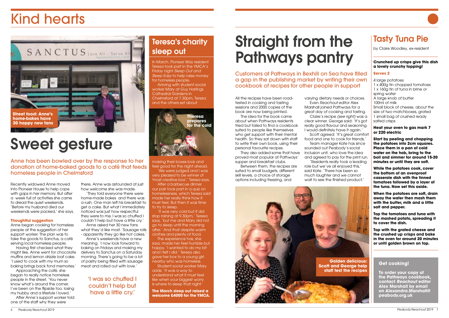



All the recipes have been roadtested in cooking and tasting sessions and 2000 copies of the book are now being printed.

The idea for the book came about when Pathways residents tried but failed to find a cookbook suited to people like themselves who get support with their mental health. So they sat down with staff to write their own book, using their personal favourite recipes.

varying dietary needs or choices. Even *Reachout* editor Alex Marshall joined Pathways for a great day of cooking and tasting. Claire's recipe *(see right)* was a clear winner. George said: 'It's got really good flavour and seasoning. I would definitely have it again.' Scott agreed: 'It's great comfort food and one to cook for friends.' Team manager Kate has since sounded out Peabody's social inclusion unit, who love the idea and agreed to pay for the print run. 'Residents really took a leading role but we've all enjoyed this,' said Kate. 'There has been so much laughter and we cannot wait to see the finished product.'

They also added some that have proved most popular at Pathways' supper and breakfast clubs.

Between them, the recipes are suited to small budgets, different skill levels, a choice of storage options including freezing, and

# Straight from the Pathways pantry

Customers at Pathways in Bexhill on Sea have filled a gap in the publishing market by writing their own cookbook of recipes for other people in support

#### **Get cooking!**

**To order your copy of the Pathways cookbook, contact** *Reachout* **editor Alex Marshall by email on Alexandra.Marshall@ peabody.org.uk**



### Tasty Tuna Pie

by Claire Woodley, ex-resident

#### **Crunched up crisps give this dish a lovely crunchy topping!**

#### **Serves 2**

4 large potatoes 1 x 400g tin chopped tomatoes 1 x 160g tin of tuna in brine or spring water A large knob of butter 100ml of milk Small block of cheese, about the size of two matchboxes, grated 1 small bag of crushed ready salted crisps

#### **Heat your oven to gas mark 7 or 220 electric**

**Start by peeling and chopping the potatoes into 2cm squares. Place them in a pan of cold water on the hob, bring to the boil and simmer for around 15-20 minutes or until they are soft.**

**While the potatoes cook, cover the bottom of an ovenproof casserole dish with the tinned tomatoes followed by a layer of the tuna. Now set this aside.**

**When the potatoes are soft, drain away the water then mash them with the butter, milk and a little salt and pepper.** 

**Top the tomatoes and tuna with the mashed potato, spreading it to cover the dish.** 

Student social worker Mary adds: 'It was a way to understand what it must feel like when your biggest worry is where to sleep that night.

**Top with the grated cheese and the crushed up crisps and bake in the oven for around 20 minutes or until golden brown on top.**

### 'I was so chuffed I couldn't help but have a little cry.'

Recently widowed Anne moved into Pioneer House to help cope with gaps in her memory. But after a week full of activities she came to dread the quiet weekends. 'Before my husband died our weekends were packed,' she says.

#### **Thoughtful suggestion**

Anne began cooking for homeless people at the suggestion of her support worker. The plan was to take the goods to Sanctus, a café serving local homeless people.

Having first checked what they might like, Anne went for chocolate muffins and lemon drizzle loaf cake. 'I used to cook with my mum so baking brings back fond memories.'

Approaching the café, she began to really notice homeless people in the street. 'You never know what's around the corner. I've been on the flipside too, losing my hubby and a lifestyle I loved.' After Anne's support worker told

one of the staff why they were

there, Anne was astounded at just how welcome she was made.

'They told everyone there were home-made bakes and there was a rush. One man left his breakfast to get a cake. But what I immediately noticed was just how respectful they were to me. I was so chuffed I couldn't help but have a little cry.'

Anne asked her 30 new fans what they'd like most. 'Sausage rolls - apparently they go like hot cakes.'

Anne's weekends have a new meaning. 'I now look forward to baking on Fridays and making my delivery to Sanctus on a Saturday morning. There's going to be a lot of pastry being filled with sausage meat and rolled out with love.'

# Kind hearts

# Sweet gesture

Anne has been bowled over by the response to her donation of home-baked goods to a café that feeds homeless people in Chelmsford

### Teresa's charity sleep out

In March, Pioneer Way resident Teresa took part in the YMCA's Friday night *Sleep Out and Sleep Easy* to help raise money for homeless people.

Arriving with student social worker Mary at Guy Harlings Cathedral Gardens in Chelmsford at 7.30pm, Teresa and the others set about

making their boxes look and feel good for the night ahead. 'We were judged and I was very pleased to be winner of 'most creative box',' Teresa says. After a barbecue dinner our pair took part in a quiz on homelessness, which Teresa said made her really think how it must feel. But then it was time to try to sleep.

'It was very cold but it did stop raining at 9.30pm,' Teresa says, 'but me and Mary did not go to sleep until the morning after.' And that despite warm clothes and plenty of food.

The experience has, she says, made her feel humble but happy. 'I wanted to do my bit and I felt I did.' Teresa also gave her box to a young girl nearby who was homeless.

**The March sleep out raised a welcome £4000 for the YMCA.**



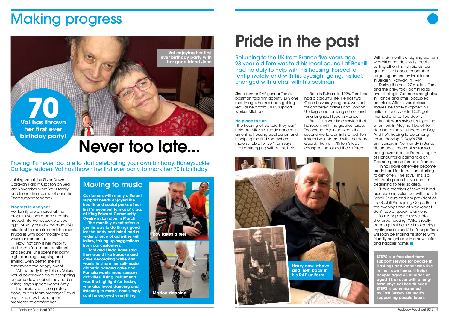Joining Val at the Silver Dawn Caravan Park in Clacton on Sea last November were Val's family and friends from some of our other Essex support schemes.

#### **Progress in one year**

Her family are amazed at the progress Val has made since she moved into Honeysuckle a year ago. Anxiety has always made Val reluctant to socialise and she also struggles with poor mobility and vascular dementia.

Now, not only is her mobility better, she feels more confident and secure. She spent her party night dancing, laughing and smiling. Even better, she still remembers the happy event.

'At the party they told us Valerie would never even go out shopping or come down stairs if they had a visitor,' says support worker Amy.

The anxiety isn't completely gone, but as team manager David says: 'She now has happier memories to comfort her.'

# Making progress

Proving it's never too late to start celebrating your own birthday, Honeysuckle Cottage resident Val has thrown her first ever party, to mark her 70th birthday



### Moving to music

**Customers with many different support needs enjoyed the health and social perks of our first 'movement to music' class at King Edward Community Centre in Laindon in March.**

**The monthly event offers a gentle way to do things good for the body and mind and a wider choice of activities will follow, taking up suggestions from our customers.** 

**Toni and Linda have said they would like karaoke and cake decorating while Ann wants to share her self-made diabetic banana cake and Pamela wants more sensory activities. Using instruments was the highlight for Lesley, who also loved dancing and listening to music. Paul simply said he enjoyed everything.**

Returning to the UK from France five years ago, 93-year-old Tom was told his local council at Bexhill had no duty to help with his housing. Forced to rent privately, and with his eyesight going, his luck changed with a chat with his postman

Since former RAF gunner Tom's postman told him about STEPS one month ago, he has been getting regular help from STEPS support worker Michael.



#### **No place to turn**

'The housing office said they can't help but Mike's already done me an online housing application and is helping me find somewhere more suitable to live,' Tom says. 'I'd be struggling without his help.'

Born in Fulham in 1926, Tom has had a colourful life. He has two Open University degrees, worked for chartered airlines and London Underground, among others, and for a long spell lived in France. But it's his war-time service that he recalls with the greatest pride. Too young to join up when the second world war first started, Tom instead volunteered with the Home Guard. Then at 17½ Tom's luck changed: he joined the airforce.

Within six months of signing up, Tom was airborne. He vividly recalls setting off on his first raid as rear gunner in a Lancaster bomber, targeting an enemy installation in Bergen, Norway, in 1944.

During the next 27 missions Tom and the crew took part in raids over strategic German strongholds in France and other occupied countries. After several close shaves, he finally swapped his uniform for civvies in 1947, got married and settled down.

But his war service is still getting attention. In May he'll be off to Holland to mark its Liberation Day. And he's hoping to be among those marking D-Day's 75th anniversary in Normandy in June. His proudest moment so far was being awarded the French Legion of Honour for a daring raid on German ground forces in France.

Things have otherwise become pretty hard for Tom. 'I am starting to get lonely,' he says. 'This is a miserable place to live and I'm beginning to feel isolated.

'I'm a member of several blind associations, volunteer with the 9th Bexhill Scouts and am president of the Bexhill Air Training Corps. But in the evenings and at weekends I don't see or speak to anyone.'

Tom is hoping to move into sheltered housing. 'Mike's really been a great help so I'm keeping my fingers crossed.' Let's hope Tom will soon be sharing his stories with friendly neighbours in a new, safer and happier home. ■

# Never too late...

# Pride in the past





**STEPS is a free short-term support service for people in Hastings and Rother who live in their own home. It helps people aged 65 or older, or aged 18 or over with a longterm physical health need. STEPS is commissioned by East Sussex Council's supporting people team.**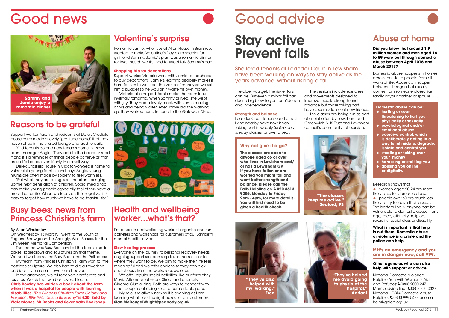### Abuse at home

#### **Did you know that around 1.9 million women and men aged 16 to 59 were put through domestic abuse between April 2016 and March 2017?**

● women aged 20-24 are most likely to suffer domestic abuse ● people over 60 are much less likely to try to leave their abuser. The bottom line is: anyone can be vulnerable to domestic abuse – any age, race, ethnicity, religion, sexuality, social class or disability.

Domestic abuse happens in homes across the UK, to people from all walks of life. Abuse can happen between strangers but usually comes from someone closer, like family or your partner or spouse.

Research shows that:

**What is important is that help is out there. Domestic abuse or violence is a crime and the police can help.**

#### **If it's an emergency and you are in danger now, call 999.**

#### **Other agencies who can also help with support or advice:**

National Domestic Violence Helpline (run with Women's Aid and Refuge): 0808 2000 247 Men's advice line: 6 0808 801 0327 National LGBT+ Domestic Abuse Helpline:  $\text{60800}$  999 5428 or email help@galop.org.uk

## Stay active Prevent falls

Sheltered tenants at Leander Court in Lewisham have been working on ways to stay active as the years advance, without risking a fall

The older you get, the riskier falls can be. But even a minor fall can deal a big blow to your confidence and independence.

#### **Strength and balance**

Leander Court tenants and others living nearby have now been taking part in weekly *Stable and Steady* classes for over a year.

The theme was Busy Bees and all the teams made cakes, scarecrows and sculptures on that theme. We had two teams, the Busy Bees and the Pollinators.

The sessions include exercises The classes are being run as part

and movements designed to improve muscle strength and balance but those taking part have also made lots of new friends. of a joint effort by Lewisham and Greenwich NHS Trust and Lewisham council's community falls service.

**Domestic abuse can be:** ● **hurting or even threatening to hurt you** 

- **physically or sexually** ● **psychological and/or emotional abuse**
- **coercive control, which is deliberately acting in a way to intimidate, degrade, isolate and control you**
- **stealing or taking over your money**
- **harassing or stalking you**
- **abusing you online or digitally.**

### Reasons to be grateful

Support worker Karen and residents at Derek Crosfield House have made a lovely 'gratitude board' that they have set up in the shared lounge and add to daily.

'Old tenants go and new tenants come in,' says team manager Angie. 'They add to the board or read it and it's a reminder of things people achieve or that make life better, even if only in a small way.'

### Health and wellbeing worker...what's that?

I'm a health and wellbeing worker. I organise and run activities and workshops for customers of our Lambeth mental health service.

Derek Crosfield House in Clacton-on-Sea is home to vulnerable young families and, says Angie, young mums are often made by society to feel worthless.

'But what they are doing is so important, bringing up the next generation of children. Social media too can make young people especially feel others have a much better life. When we focus on the negative, it's easy to forget how much we have to be thankful for.'

> We offer regular social activities, like our fortnightly Movie Afternoon at Greet Street and quarterly Cinema Club outing. Both are ways to connect with other people but doing so at a comfortable pace.

### Busy bees: news from Princess Christian's farm

#### By Allan Winstanley

On Wednesday 13 March, I went to the South of England Showground in Ardingly, West Sussex, for the Jim Green Memorial Competition.

My team from Princess Christian's Farm won for the best bee sculpture. We also had to dig a flowerbed and identify material, flowers and leaves.

In the afternoon, we all received certificates and rosettes. We did not win best overall team. **Chris Rowley has written a book about the farm when it was a hospital for people with learning** 

**disabilities.** *'The Princess Christian Farm Colony and Hospital 1895-1995: "Just a Bit Barmy"* **is £20. Sold by Waterstones, Mr Books and Sevenoaks Bookshop.**



#### **Why not give it a go?**

**The classes are open to anyone aged 65 or over who lives in Lewisham and/ or has a Lewisham GP. If you have fallen or are worried you might fall and want better strength and balance, please call the Falls Helpline on**  $60208613$ **9206, Monday to Friday 9am - 4pm, for more details. You will first need to be given a health check.** 











### Valentine's surprise

Romantic Jamie, who lives at Allen House in Braintree, wanted to make Valentine's Day extra special for girlfriend Sammy. Jamie's plan was a romantic dinner for two, though we first had to sweet talk Sammy's dad.

#### **Shopping trip for decorations**

Support worker Victoria went with Jamie to the shops to buy decorations. Jamie's learning disability makes it hard for him to work out the value of money so we set him a budget so he wouldn't waste his own money.

Victoria also helped Jamie make the room look invitingly romantic. When Sammy arrived, she wept with joy. They had a lovely meal, with Jamie making drinks and being waiter. After Jamie did the washing up, they walked hand in hand to the Gateway Disco.

#### **Slow healing process**

Everyone on the journey to personal recovery needs ongoing support so each step takes them closer to where they want to be. We aim to make their life feel meaningful and we offer choices so they can pick and choose from the workshops we offer.

My role is relatively new so it is evolving as I am learning what ticks the right boxes for our customers. **Sian.McDougalWright@peabody.org.uk**

# Good news Good advice